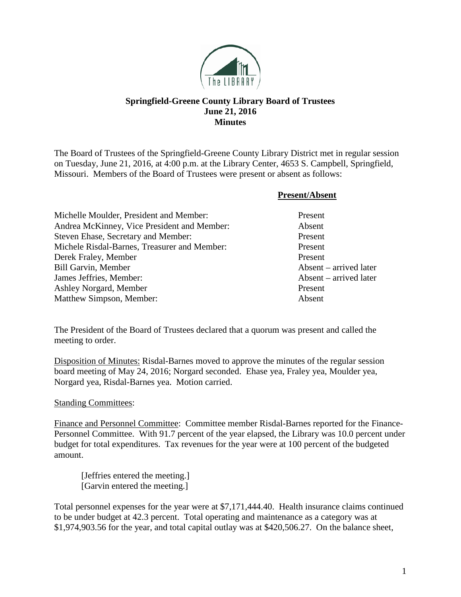

## **Springfield-Greene County Library Board of Trustees June 21, 2016 Minutes**

The Board of Trustees of the Springfield-Greene County Library District met in regular session on Tuesday, June 21, 2016, at 4:00 p.m. at the Library Center, 4653 S. Campbell, Springfield, Missouri. Members of the Board of Trustees were present or absent as follows:

**Present/Absent**

| Michelle Moulder, President and Member:      | Present                |
|----------------------------------------------|------------------------|
| Andrea McKinney, Vice President and Member:  | Absent                 |
| Steven Ehase, Secretary and Member:          | Present                |
| Michele Risdal-Barnes, Treasurer and Member: | Present                |
| Derek Fraley, Member                         | Present                |
| <b>Bill Garvin, Member</b>                   | Absent – arrived later |
| James Jeffries, Member:                      | Absent – arrived later |
| Ashley Norgard, Member                       | Present                |
| Matthew Simpson, Member:                     | Absent                 |
|                                              |                        |

The President of the Board of Trustees declared that a quorum was present and called the meeting to order.

Disposition of Minutes: Risdal-Barnes moved to approve the minutes of the regular session board meeting of May 24, 2016; Norgard seconded. Ehase yea, Fraley yea, Moulder yea, Norgard yea, Risdal-Barnes yea. Motion carried.

## Standing Committees:

Finance and Personnel Committee: Committee member Risdal-Barnes reported for the Finance-Personnel Committee. With 91.7 percent of the year elapsed, the Library was 10.0 percent under budget for total expenditures. Tax revenues for the year were at 100 percent of the budgeted amount.

[Jeffries entered the meeting.] [Garvin entered the meeting.]

Total personnel expenses for the year were at \$7,171,444.40. Health insurance claims continued to be under budget at 42.3 percent. Total operating and maintenance as a category was at \$1,974,903.56 for the year, and total capital outlay was at \$420,506.27. On the balance sheet,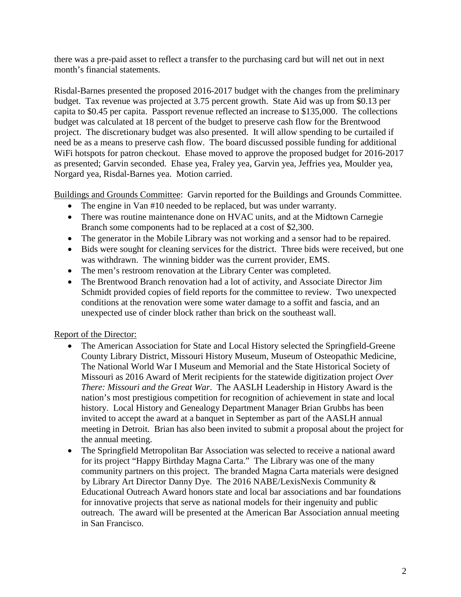there was a pre-paid asset to reflect a transfer to the purchasing card but will net out in next month's financial statements.

Risdal-Barnes presented the proposed 2016-2017 budget with the changes from the preliminary budget. Tax revenue was projected at 3.75 percent growth. State Aid was up from \$0.13 per capita to \$0.45 per capita. Passport revenue reflected an increase to \$135,000. The collections budget was calculated at 18 percent of the budget to preserve cash flow for the Brentwood project. The discretionary budget was also presented. It will allow spending to be curtailed if need be as a means to preserve cash flow. The board discussed possible funding for additional WiFi hotspots for patron checkout. Ehase moved to approve the proposed budget for 2016-2017 as presented; Garvin seconded. Ehase yea, Fraley yea, Garvin yea, Jeffries yea, Moulder yea, Norgard yea, Risdal-Barnes yea. Motion carried.

Buildings and Grounds Committee: Garvin reported for the Buildings and Grounds Committee.

- The engine in Van #10 needed to be replaced, but was under warranty.
- There was routine maintenance done on HVAC units, and at the Midtown Carnegie Branch some components had to be replaced at a cost of \$2,300.
- The generator in the Mobile Library was not working and a sensor had to be repaired.
- Bids were sought for cleaning services for the district. Three bids were received, but one was withdrawn. The winning bidder was the current provider, EMS.
- The men's restroom renovation at the Library Center was completed.
- The Brentwood Branch renovation had a lot of activity, and Associate Director Jim Schmidt provided copies of field reports for the committee to review. Two unexpected conditions at the renovation were some water damage to a soffit and fascia, and an unexpected use of cinder block rather than brick on the southeast wall.

Report of the Director:

- The American Association for State and Local History selected the Springfield-Greene County Library District, Missouri History Museum, Museum of Osteopathic Medicine, The National World War I Museum and Memorial and the State Historical Society of Missouri as 2016 Award of Merit recipients for the statewide digitization project *Over There: Missouri and the Great War*. The AASLH Leadership in History Award is the nation's most prestigious competition for recognition of achievement in state and local history. Local History and Genealogy Department Manager Brian Grubbs has been invited to accept the award at a banquet in September as part of the AASLH annual meeting in Detroit. Brian has also been invited to submit a proposal about the project for the annual meeting.
- The Springfield Metropolitan Bar Association was selected to receive a national award for its project "Happy Birthday Magna Carta." The Library was one of the many community partners on this project. The branded Magna Carta materials were designed by Library Art Director Danny Dye. The 2016 NABE/LexisNexis Community & Educational Outreach Award honors state and local bar associations and bar foundations for innovative projects that serve as national models for their ingenuity and public outreach. The award will be presented at the American Bar Association annual meeting in San Francisco.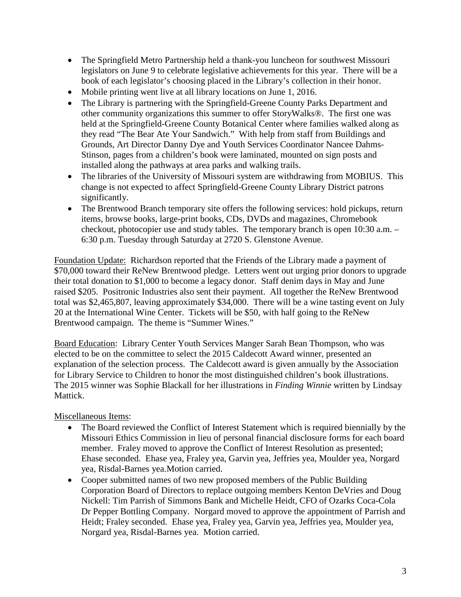- The Springfield Metro Partnership held a thank-you luncheon for southwest Missouri legislators on June 9 to celebrate legislative achievements for this year. There will be a book of each legislator's choosing placed in the Library's collection in their honor.
- Mobile printing went live at all library locations on June 1, 2016.
- The Library is partnering with the Springfield-Greene County Parks Department and other community organizations this summer to offer StoryWalks®. The first one was held at the Springfield-Greene County Botanical Center where families walked along as they read "The Bear Ate Your Sandwich." With help from staff from Buildings and Grounds, Art Director Danny Dye and Youth Services Coordinator Nancee Dahms-Stinson, pages from a children's book were laminated, mounted on sign posts and installed along the pathways at area parks and walking trails.
- The libraries of the University of Missouri system are withdrawing from MOBIUS. This change is not expected to affect Springfield-Greene County Library District patrons significantly.
- The Brentwood Branch temporary site offers the following services: hold pickups, return items, browse books, large-print books, CDs, DVDs and magazines, Chromebook checkout, photocopier use and study tables. The temporary branch is open 10:30 a.m. – 6:30 p.m. Tuesday through Saturday at 2720 S. Glenstone Avenue.

Foundation Update: Richardson reported that the Friends of the Library made a payment of \$70,000 toward their ReNew Brentwood pledge. Letters went out urging prior donors to upgrade their total donation to \$1,000 to become a legacy donor. Staff denim days in May and June raised \$205. Positronic Industries also sent their payment. All together the ReNew Brentwood total was \$2,465,807, leaving approximately \$34,000. There will be a wine tasting event on July 20 at the International Wine Center. Tickets will be \$50, with half going to the ReNew Brentwood campaign. The theme is "Summer Wines."

Board Education: Library Center Youth Services Manger Sarah Bean Thompson, who was elected to be on the committee to select the 2015 Caldecott Award winner, presented an explanation of the selection process. The Caldecott award is given annually by the Association for Library Service to Children to honor the most distinguished children's book illustrations. The 2015 winner was Sophie Blackall for her illustrations in *Finding Winnie* written by Lindsay Mattick.

Miscellaneous Items:

- The Board reviewed the Conflict of Interest Statement which is required biennially by the Missouri Ethics Commission in lieu of personal financial disclosure forms for each board member. Fraley moved to approve the Conflict of Interest Resolution as presented; Ehase seconded. Ehase yea, Fraley yea, Garvin yea, Jeffries yea, Moulder yea, Norgard yea, Risdal-Barnes yea.Motion carried.
- Cooper submitted names of two new proposed members of the Public Building Corporation Board of Directors to replace outgoing members Kenton DeVries and Doug Nickell: Tim Parrish of Simmons Bank and Michelle Heidt, CFO of Ozarks Coca-Cola Dr Pepper Bottling Company. Norgard moved to approve the appointment of Parrish and Heidt; Fraley seconded. Ehase yea, Fraley yea, Garvin yea, Jeffries yea, Moulder yea, Norgard yea, Risdal-Barnes yea. Motion carried.